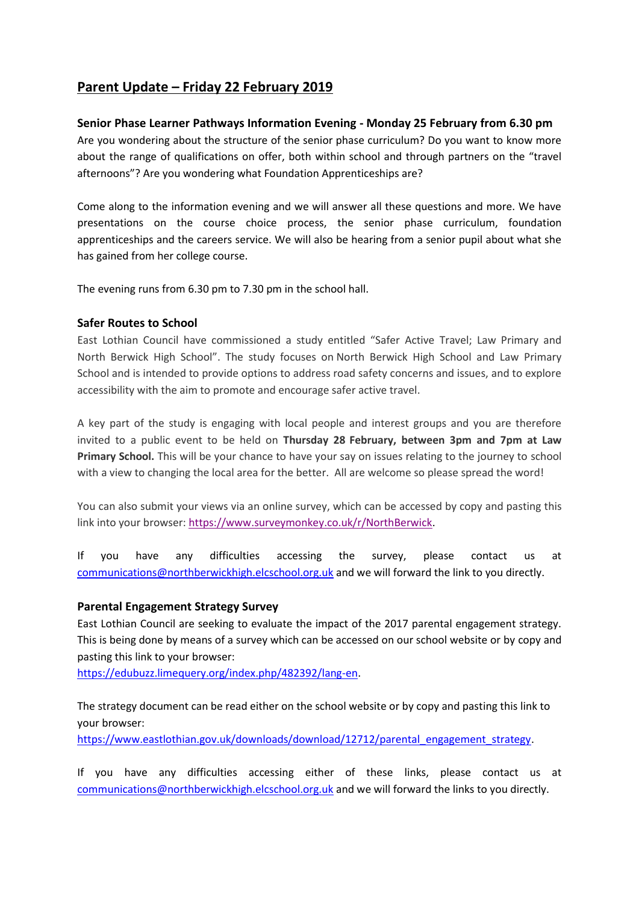# **Parent Update – Friday 22 February 2019**

# **Senior Phase Learner Pathways Information Evening - Monday 25 February from 6.30 pm**

Are you wondering about the structure of the senior phase curriculum? Do you want to know more about the range of qualifications on offer, both within school and through partners on the "travel afternoons"? Are you wondering what Foundation Apprenticeships are?

Come along to the information evening and we will answer all these questions and more. We have presentations on the course choice process, the senior phase curriculum, foundation apprenticeships and the careers service. We will also be hearing from a senior pupil about what she has gained from her college course.

The evening runs from 6.30 pm to 7.30 pm in the school hall.

# **Safer Routes to School**

East Lothian Council have commissioned a study entitled "Safer Active Travel; Law Primary and North Berwick High School". The study focuses on North Berwick High School and Law Primary School and is intended to provide options to address road safety concerns and issues, and to explore accessibility with the aim to promote and encourage safer active travel.

A key part of the study is engaging with local people and interest groups and you are therefore invited to a public event to be held on **Thursday 28 February, between 3pm and 7pm at Law Primary School.** This will be your chance to have your say on issues relating to the journey to school with a view to changing the local area for the better. All are welcome so please spread the word!

You can also submit your views via an online survey, which can be accessed by copy and pasting this link into your browser: [https://www.surveymonkey.co.uk/r/NorthBerwick.](https://www.surveymonkey.co.uk/r/NorthBerwick)

If you have any difficulties accessing the survey, please contact us at [communications@northberwickhigh.elcschool.org.uk](mailto:communications@northberwickhigh.elcschool.org.uk) and we will forward the link to you directly.

# **Parental Engagement Strategy Survey**

East Lothian Council are seeking to evaluate the impact of the 2017 parental engagement strategy. This is being done by means of a survey which can be accessed on our school website or by copy and pasting this link to your browser:

[https://edubuzz.limequery.org/index.php/482392/lang-en.](https://edubuzz.limequery.org/index.php/482392/lang-en)

The strategy document can be read either on the school website or by copy and pasting this link to your browser:

[https://www.eastlothian.gov.uk/downloads/download/12712/parental\\_engagement\\_strategy.](https://www.eastlothian.gov.uk/downloads/download/12712/parental_engagement_strategy)

If you have any difficulties accessing either of these links, please contact us at [communications@northberwickhigh.elcschool.org.uk](mailto:communications@northberwickhigh.elcschool.org.uk) and we will forward the links to you directly.